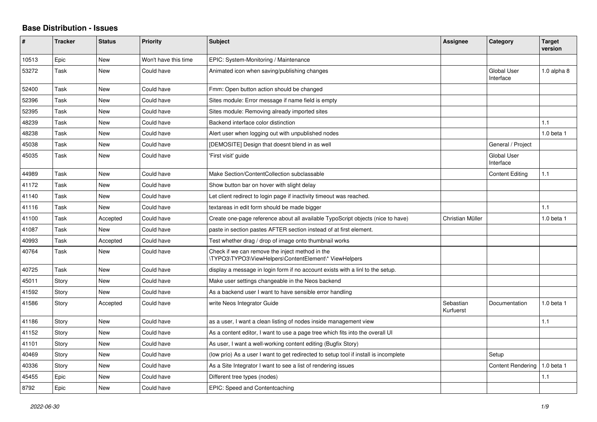## **Base Distribution - Issues**

| ∦     | <b>Tracker</b> | <b>Status</b> | <b>Priority</b>      | <b>Subject</b>                                                                                           | Assignee               | Category                        | <b>Target</b><br>version |
|-------|----------------|---------------|----------------------|----------------------------------------------------------------------------------------------------------|------------------------|---------------------------------|--------------------------|
| 10513 | Epic           | <b>New</b>    | Won't have this time | EPIC: System-Monitoring / Maintenance                                                                    |                        |                                 |                          |
| 53272 | Task           | New           | Could have           | Animated icon when saving/publishing changes                                                             |                        | <b>Global User</b><br>Interface | 1.0 alpha 8              |
| 52400 | Task           | <b>New</b>    | Could have           | Fmm: Open button action should be changed                                                                |                        |                                 |                          |
| 52396 | Task           | New           | Could have           | Sites module: Error message if name field is empty                                                       |                        |                                 |                          |
| 52395 | Task           | <b>New</b>    | Could have           | Sites module: Removing already imported sites                                                            |                        |                                 |                          |
| 48239 | Task           | New           | Could have           | Backend interface color distinction                                                                      |                        |                                 | 1.1                      |
| 48238 | Task           | <b>New</b>    | Could have           | Alert user when logging out with unpublished nodes                                                       |                        |                                 | 1.0 beta 1               |
| 45038 | Task           | New           | Could have           | [DEMOSITE] Design that doesnt blend in as well                                                           |                        | General / Project               |                          |
| 45035 | Task           | <b>New</b>    | Could have           | 'First visit' guide                                                                                      |                        | Global User<br>Interface        |                          |
| 44989 | Task           | <b>New</b>    | Could have           | Make Section/ContentCollection subclassable                                                              |                        | <b>Content Editing</b>          | 1.1                      |
| 41172 | Task           | New           | Could have           | Show button bar on hover with slight delay                                                               |                        |                                 |                          |
| 41140 | Task           | New           | Could have           | Let client redirect to login page if inactivity timeout was reached.                                     |                        |                                 |                          |
| 41116 | Task           | <b>New</b>    | Could have           | textareas in edit form should be made bigger                                                             |                        |                                 | 1.1                      |
| 41100 | Task           | Accepted      | Could have           | Create one-page reference about all available TypoScript objects (nice to have)                          | Christian Müller       |                                 | 1.0 beta 1               |
| 41087 | Task           | <b>New</b>    | Could have           | paste in section pastes AFTER section instead of at first element.                                       |                        |                                 |                          |
| 40993 | Task           | Accepted      | Could have           | Test whether drag / drop of image onto thumbnail works                                                   |                        |                                 |                          |
| 40764 | Task           | New           | Could have           | Check if we can remove the inject method in the<br>\TYPO3\TYPO3\ViewHelpers\ContentElement\* ViewHelpers |                        |                                 |                          |
| 40725 | Task           | New           | Could have           | display a message in login form if no account exists with a linl to the setup.                           |                        |                                 |                          |
| 45011 | Story          | New           | Could have           | Make user settings changeable in the Neos backend                                                        |                        |                                 |                          |
| 41592 | Story          | <b>New</b>    | Could have           | As a backend user I want to have sensible error handling                                                 |                        |                                 |                          |
| 41586 | Story          | Accepted      | Could have           | write Neos Integrator Guide                                                                              | Sebastian<br>Kurfuerst | Documentation                   | 1.0 beta 1               |
| 41186 | Story          | <b>New</b>    | Could have           | as a user, I want a clean listing of nodes inside management view                                        |                        |                                 | 1.1                      |
| 41152 | Story          | <b>New</b>    | Could have           | As a content editor, I want to use a page tree which fits into the overall UI                            |                        |                                 |                          |
| 41101 | Story          | New           | Could have           | As user, I want a well-working content editing (Bugfix Story)                                            |                        |                                 |                          |
| 40469 | Story          | <b>New</b>    | Could have           | (low prio) As a user I want to get redirected to setup tool if install is incomplete                     |                        | Setup                           |                          |
| 40336 | Story          | <b>New</b>    | Could have           | As a Site Integrator I want to see a list of rendering issues                                            |                        | <b>Content Rendering</b>        | $1.0$ beta $1$           |
| 45455 | Epic           | New           | Could have           | Different tree types (nodes)                                                                             |                        |                                 | 1.1                      |
| 8792  | Epic           | <b>New</b>    | Could have           | EPIC: Speed and Contentcaching                                                                           |                        |                                 |                          |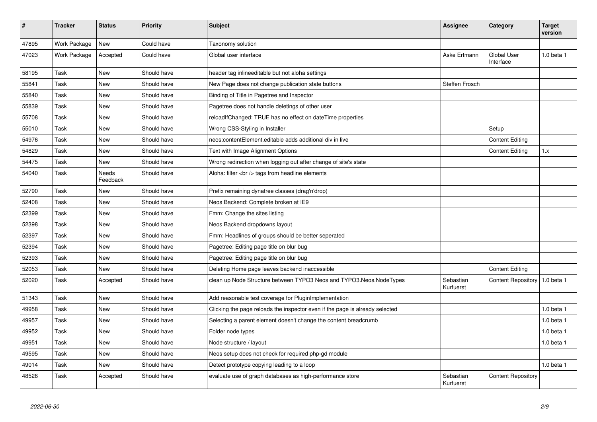| #     | <b>Tracker</b> | <b>Status</b>     | <b>Priority</b> | <b>Subject</b>                                                               | <b>Assignee</b>        | Category                        | <b>Target</b><br>version |
|-------|----------------|-------------------|-----------------|------------------------------------------------------------------------------|------------------------|---------------------------------|--------------------------|
| 47895 | Work Package   | <b>New</b>        | Could have      | Taxonomy solution                                                            |                        |                                 |                          |
| 47023 | Work Package   | Accepted          | Could have      | Global user interface                                                        | Aske Ertmann           | <b>Global User</b><br>Interface | 1.0 beta 1               |
| 58195 | Task           | New               | Should have     | header tag inlineeditable but not aloha settings                             |                        |                                 |                          |
| 55841 | Task           | New               | Should have     | New Page does not change publication state buttons                           | <b>Steffen Frosch</b>  |                                 |                          |
| 55840 | Task           | New               | Should have     | Binding of Title in Pagetree and Inspector                                   |                        |                                 |                          |
| 55839 | Task           | New               | Should have     | Pagetree does not handle deletings of other user                             |                        |                                 |                          |
| 55708 | Task           | New               | Should have     | reloadIfChanged: TRUE has no effect on dateTime properties                   |                        |                                 |                          |
| 55010 | Task           | New               | Should have     | Wrong CSS-Styling in Installer                                               |                        | Setup                           |                          |
| 54976 | Task           | New               | Should have     | neos: content Element. editable adds additional div in live                  |                        | <b>Content Editing</b>          |                          |
| 54829 | Task           | New               | Should have     | Text with Image Alignment Options                                            |                        | <b>Content Editing</b>          | 1.x                      |
| 54475 | Task           | New               | Should have     | Wrong redirection when logging out after change of site's state              |                        |                                 |                          |
| 54040 | Task           | Needs<br>Feedback | Should have     | Aloha: filter<br>tags from headline elements                                 |                        |                                 |                          |
| 52790 | Task           | New               | Should have     | Prefix remaining dynatree classes (drag'n'drop)                              |                        |                                 |                          |
| 52408 | Task           | New               | Should have     | Neos Backend: Complete broken at IE9                                         |                        |                                 |                          |
| 52399 | Task           | <b>New</b>        | Should have     | Fmm: Change the sites listing                                                |                        |                                 |                          |
| 52398 | Task           | New               | Should have     | Neos Backend dropdowns layout                                                |                        |                                 |                          |
| 52397 | Task           | New               | Should have     | Fmm: Headlines of groups should be better seperated                          |                        |                                 |                          |
| 52394 | Task           | New               | Should have     | Pagetree: Editing page title on blur bug                                     |                        |                                 |                          |
| 52393 | Task           | <b>New</b>        | Should have     | Pagetree: Editing page title on blur bug                                     |                        |                                 |                          |
| 52053 | Task           | <b>New</b>        | Should have     | Deleting Home page leaves backend inaccessible                               |                        | <b>Content Editing</b>          |                          |
| 52020 | Task           | Accepted          | Should have     | clean up Node Structure between TYPO3 Neos and TYPO3. Neos. Node Types       | Sebastian<br>Kurfuerst | Content Repository              | 1.0 beta 1               |
| 51343 | Task           | <b>New</b>        | Should have     | Add reasonable test coverage for PluginImplementation                        |                        |                                 |                          |
| 49958 | Task           | <b>New</b>        | Should have     | Clicking the page reloads the inspector even if the page is already selected |                        |                                 | $1.0$ beta $1$           |
| 49957 | Task           | New               | Should have     | Selecting a parent element doesn't change the content breadcrumb             |                        |                                 | 1.0 beta 1               |
| 49952 | Task           | New               | Should have     | Folder node types                                                            |                        |                                 | 1.0 beta 1               |
| 49951 | Task           | New               | Should have     | Node structure / layout                                                      |                        |                                 | $1.0$ beta $1$           |
| 49595 | Task           | New               | Should have     | Neos setup does not check for required php-gd module                         |                        |                                 |                          |
| 49014 | Task           | New               | Should have     | Detect prototype copying leading to a loop                                   |                        |                                 | 1.0 beta 1               |
| 48526 | Task           | Accepted          | Should have     | evaluate use of graph databases as high-performance store                    | Sebastian<br>Kurfuerst | <b>Content Repository</b>       |                          |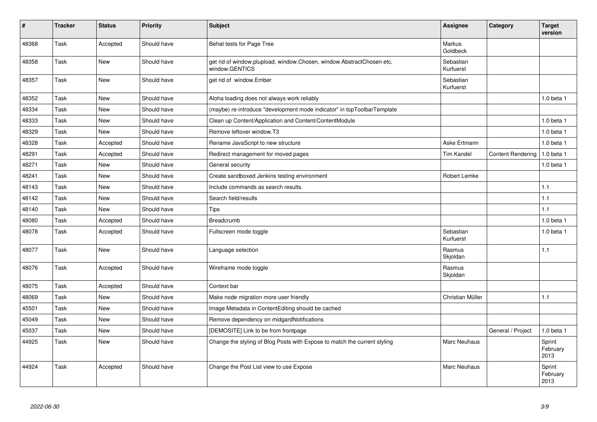| #     | <b>Tracker</b> | <b>Status</b> | <b>Priority</b> | <b>Subject</b>                                                                          | Assignee               | Category                 | <b>Target</b><br>version   |
|-------|----------------|---------------|-----------------|-----------------------------------------------------------------------------------------|------------------------|--------------------------|----------------------------|
| 48368 | Task           | Accepted      | Should have     | Behat tests for Page Tree                                                               | Markus<br>Goldbeck     |                          |                            |
| 48358 | Task           | <b>New</b>    | Should have     | get rid of window.plupload, window.Chosen, window.AbstractChosen etc,<br>window.GENTICS | Sebastian<br>Kurfuerst |                          |                            |
| 48357 | Task           | <b>New</b>    | Should have     | get rid of window.Ember                                                                 | Sebastian<br>Kurfuerst |                          |                            |
| 48352 | Task           | <b>New</b>    | Should have     | Aloha loading does not always work reliably                                             |                        |                          | $1.0$ beta $1$             |
| 48334 | Task           | <b>New</b>    | Should have     | (maybe) re-introduce "development mode indicator" in topToolbarTemplate                 |                        |                          |                            |
| 48333 | Task           | <b>New</b>    | Should have     | Clean up Content/Application and Content/ContentModule                                  |                        |                          | $1.0$ beta $1$             |
| 48329 | Task           | <b>New</b>    | Should have     | Remove leftover window.T3                                                               |                        |                          | $1.0$ beta $1$             |
| 48328 | Task           | Accepted      | Should have     | Rename JavaScript to new structure                                                      | Aske Ertmann           |                          | $1.0$ beta $1$             |
| 48291 | Task           | Accepted      | Should have     | Redirect management for moved pages                                                     | <b>Tim Kandel</b>      | <b>Content Rendering</b> | 1.0 beta 1                 |
| 48271 | Task           | <b>New</b>    | Should have     | General security                                                                        |                        |                          | $1.0$ beta $1$             |
| 48241 | Task           | <b>New</b>    | Should have     | Create sandboxed Jenkins testing environment                                            | Robert Lemke           |                          |                            |
| 48143 | Task           | <b>New</b>    | Should have     | Include commands as search results.                                                     |                        |                          | 1.1                        |
| 48142 | Task           | <b>New</b>    | Should have     | Search field/results                                                                    |                        |                          | 1.1                        |
| 48140 | Task           | <b>New</b>    | Should have     | Tips                                                                                    |                        |                          | 1.1                        |
| 48080 | Task           | Accepted      | Should have     | <b>Breadcrumb</b>                                                                       |                        |                          | $1.0$ beta $1$             |
| 48078 | Task           | Accepted      | Should have     | Fullscreen mode toggle                                                                  | Sebastian<br>Kurfuerst |                          | $1.0$ beta $1$             |
| 48077 | Task           | <b>New</b>    | Should have     | Language selection                                                                      | Rasmus<br>Skjoldan     |                          | 1.1                        |
| 48076 | Task           | Accepted      | Should have     | Wireframe mode toggle                                                                   | Rasmus<br>Skjoldan     |                          |                            |
| 48075 | Task           | Accepted      | Should have     | Context bar                                                                             |                        |                          |                            |
| 48069 | Task           | New           | Should have     | Make node migration more user friendly                                                  | Christian Müller       |                          | 1.1                        |
| 45501 | Task           | New           | Should have     | Image Metadata in ContentEditing should be cached                                       |                        |                          |                            |
| 45049 | Task           | <b>New</b>    | Should have     | Remove dependency on midgardNotifications                                               |                        |                          |                            |
| 45037 | Task           | <b>New</b>    | Should have     | [DEMOSITE] Link to be from frontpage                                                    |                        | General / Project        | 1.0 beta 1                 |
| 44925 | Task           | New           | Should have     | Change the styling of Blog Posts with Expose to match the current styling               | Marc Neuhaus           |                          | Sprint<br>February<br>2013 |
| 44924 | Task           | Accepted      | Should have     | Change the Post List view to use Expose                                                 | <b>Marc Neuhaus</b>    |                          | Sprint<br>February<br>2013 |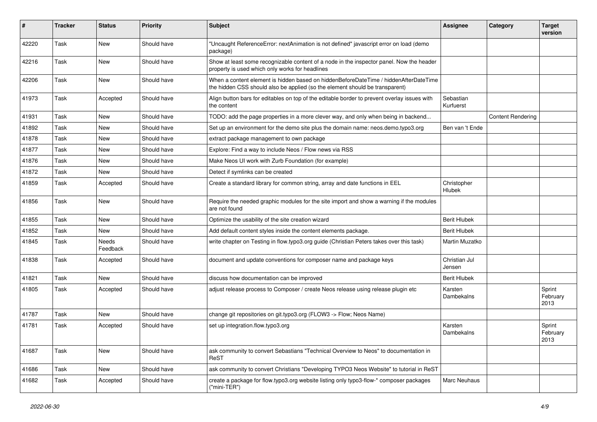| #     | <b>Tracker</b> | <b>Status</b>     | <b>Priority</b> | Subject                                                                                                                                                              | <b>Assignee</b>         | Category                 | <b>Target</b><br>version   |
|-------|----------------|-------------------|-----------------|----------------------------------------------------------------------------------------------------------------------------------------------------------------------|-------------------------|--------------------------|----------------------------|
| 42220 | Task           | <b>New</b>        | Should have     | "Uncaught ReferenceError: nextAnimation is not defined" javascript error on load (demo<br>package)                                                                   |                         |                          |                            |
| 42216 | Task           | <b>New</b>        | Should have     | Show at least some recognizable content of a node in the inspector panel. Now the header<br>property is used which only works for headlines                          |                         |                          |                            |
| 42206 | Task           | New               | Should have     | When a content element is hidden based on hiddenBeforeDateTime / hiddenAfterDateTime<br>the hidden CSS should also be applied (so the element should be transparent) |                         |                          |                            |
| 41973 | Task           | Accepted          | Should have     | Align button bars for editables on top of the editable border to prevent overlay issues with<br>the content                                                          | Sebastian<br>Kurfuerst  |                          |                            |
| 41931 | Task           | New               | Should have     | TODO: add the page properties in a more clever way, and only when being in backend                                                                                   |                         | <b>Content Rendering</b> |                            |
| 41892 | Task           | New               | Should have     | Set up an environment for the demo site plus the domain name: neos.demo.typo3.org                                                                                    | Ben van 't Ende         |                          |                            |
| 41878 | Task           | New               | Should have     | extract package management to own package                                                                                                                            |                         |                          |                            |
| 41877 | Task           | New               | Should have     | Explore: Find a way to include Neos / Flow news via RSS                                                                                                              |                         |                          |                            |
| 41876 | Task           | New               | Should have     | Make Neos UI work with Zurb Foundation (for example)                                                                                                                 |                         |                          |                            |
| 41872 | Task           | New               | Should have     | Detect if symlinks can be created                                                                                                                                    |                         |                          |                            |
| 41859 | Task           | Accepted          | Should have     | Create a standard library for common string, array and date functions in EEL                                                                                         | Christopher<br>Hlubek   |                          |                            |
| 41856 | Task           | New               | Should have     | Require the needed graphic modules for the site import and show a warning if the modules<br>are not found                                                            |                         |                          |                            |
| 41855 | Task           | <b>New</b>        | Should have     | Optimize the usability of the site creation wizard                                                                                                                   | <b>Berit Hlubek</b>     |                          |                            |
| 41852 | Task           | New               | Should have     | Add default content styles inside the content elements package.                                                                                                      | <b>Berit Hlubek</b>     |                          |                            |
| 41845 | Task           | Needs<br>Feedback | Should have     | write chapter on Testing in flow.typo3.org guide (Christian Peters takes over this task)                                                                             | Martin Muzatko          |                          |                            |
| 41838 | Task           | Accepted          | Should have     | document and update conventions for composer name and package keys                                                                                                   | Christian Jul<br>Jensen |                          |                            |
| 41821 | Task           | New               | Should have     | discuss how documentation can be improved                                                                                                                            | <b>Berit Hlubek</b>     |                          |                            |
| 41805 | Task           | Accepted          | Should have     | adjust release process to Composer / create Neos release using release plugin etc                                                                                    | Karsten<br>Dambekalns   |                          | Sprint<br>February<br>2013 |
| 41787 | Task           | <b>New</b>        | Should have     | change git repositories on git.typo3.org (FLOW3 -> Flow; Neos Name)                                                                                                  |                         |                          |                            |
| 41781 | Task           | Accepted          | Should have     | set up integration.flow.typo3.org                                                                                                                                    | Karsten<br>Dambekalns   |                          | Sprint<br>February<br>2013 |
| 41687 | Task           | New               | Should have     | ask community to convert Sebastians "Technical Overview to Neos" to documentation in<br>ReST                                                                         |                         |                          |                            |
| 41686 | Task           | New               | Should have     | ask community to convert Christians "Developing TYPO3 Neos Website" to tutorial in ReST                                                                              |                         |                          |                            |
| 41682 | Task           | Accepted          | Should have     | create a package for flow typo3.org website listing only typo3-flow-* composer packages<br>("mini-TER")                                                              | Marc Neuhaus            |                          |                            |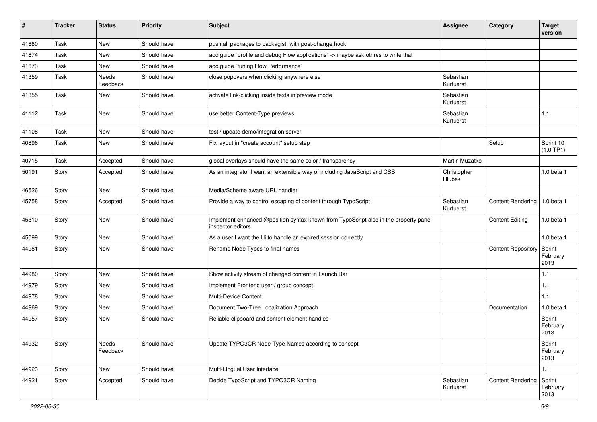| ∦     | <b>Tracker</b> | <b>Status</b>            | <b>Priority</b> | <b>Subject</b>                                                                                            | <b>Assignee</b>        | Category                       | <b>Target</b><br>version   |
|-------|----------------|--------------------------|-----------------|-----------------------------------------------------------------------------------------------------------|------------------------|--------------------------------|----------------------------|
| 41680 | Task           | <b>New</b>               | Should have     | push all packages to packagist, with post-change hook                                                     |                        |                                |                            |
| 41674 | Task           | New                      | Should have     | add guide "profile and debug Flow applications" -> maybe ask othres to write that                         |                        |                                |                            |
| 41673 | Task           | New                      | Should have     | add guide "tuning Flow Performance"                                                                       |                        |                                |                            |
| 41359 | Task           | <b>Needs</b><br>Feedback | Should have     | close popovers when clicking anywhere else                                                                | Sebastian<br>Kurfuerst |                                |                            |
| 41355 | Task           | New                      | Should have     | activate link-clicking inside texts in preview mode                                                       | Sebastian<br>Kurfuerst |                                |                            |
| 41112 | Task           | New                      | Should have     | use better Content-Type previews                                                                          | Sebastian<br>Kurfuerst |                                | 1.1                        |
| 41108 | Task           | New                      | Should have     | test / update demo/integration server                                                                     |                        |                                |                            |
| 40896 | Task           | New                      | Should have     | Fix layout in "create account" setup step                                                                 |                        | Setup                          | Sprint 10<br>(1.0 TP1)     |
| 40715 | Task           | Accepted                 | Should have     | global overlays should have the same color / transparency                                                 | Martin Muzatko         |                                |                            |
| 50191 | Story          | Accepted                 | Should have     | As an integrator I want an extensible way of including JavaScript and CSS                                 | Christopher<br>Hlubek  |                                | 1.0 beta 1                 |
| 46526 | Story          | <b>New</b>               | Should have     | Media/Scheme aware URL handler                                                                            |                        |                                |                            |
| 45758 | Story          | Accepted                 | Should have     | Provide a way to control escaping of content through TypoScript                                           | Sebastian<br>Kurfuerst | Content Rendering   1.0 beta 1 |                            |
| 45310 | Story          | <b>New</b>               | Should have     | Implement enhanced @position syntax known from TypoScript also in the property panel<br>inspector editors |                        | <b>Content Editing</b>         | 1.0 beta 1                 |
| 45099 | Story          | <b>New</b>               | Should have     | As a user I want the Ui to handle an expired session correctly                                            |                        |                                | 1.0 beta 1                 |
| 44981 | Story          | New                      | Should have     | Rename Node Types to final names                                                                          |                        | <b>Content Repository</b>      | Sprint<br>February<br>2013 |
| 44980 | Story          | <b>New</b>               | Should have     | Show activity stream of changed content in Launch Bar                                                     |                        |                                | $1.1$                      |
| 44979 | Story          | <b>New</b>               | Should have     | Implement Frontend user / group concept                                                                   |                        |                                | $1.1$                      |
| 44978 | Story          | New                      | Should have     | <b>Multi-Device Content</b>                                                                               |                        |                                | 1.1                        |
| 44969 | Story          | <b>New</b>               | Should have     | Document Two-Tree Localization Approach                                                                   |                        | Documentation                  | 1.0 beta 1                 |
| 44957 | Story          | <b>New</b>               | Should have     | Reliable clipboard and content element handles                                                            |                        |                                | Sprint<br>February<br>2013 |
| 44932 | Story          | Needs<br>Feedback        | Should have     | Update TYPO3CR Node Type Names according to concept                                                       |                        |                                | Sprint<br>February<br>2013 |
| 44923 | Story          | New                      | Should have     | Multi-Lingual User Interface                                                                              |                        |                                | 1.1                        |
| 44921 | Story          | Accepted                 | Should have     | Decide TypoScript and TYPO3CR Naming                                                                      | Sebastian<br>Kurfuerst | <b>Content Rendering</b>       | Sprint<br>February<br>2013 |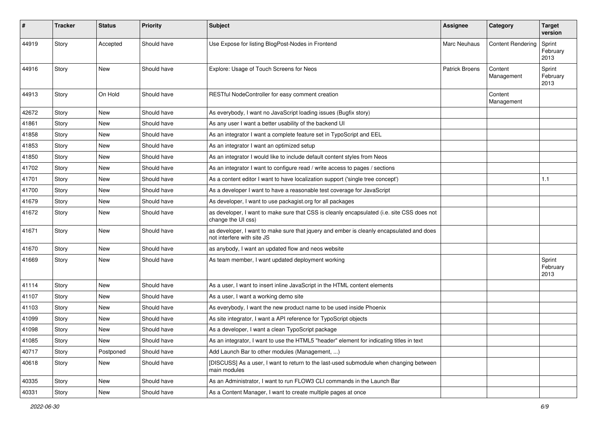| #     | <b>Tracker</b> | <b>Status</b> | <b>Priority</b> | <b>Subject</b>                                                                                                         | <b>Assignee</b>       | Category                 | <b>Target</b><br>version   |
|-------|----------------|---------------|-----------------|------------------------------------------------------------------------------------------------------------------------|-----------------------|--------------------------|----------------------------|
| 44919 | Story          | Accepted      | Should have     | Use Expose for listing BlogPost-Nodes in Frontend                                                                      | <b>Marc Neuhaus</b>   | <b>Content Rendering</b> | Sprint<br>February<br>2013 |
| 44916 | Story          | <b>New</b>    | Should have     | Explore: Usage of Touch Screens for Neos                                                                               | <b>Patrick Broens</b> | Content<br>Management    | Sprint<br>February<br>2013 |
| 44913 | Story          | On Hold       | Should have     | RESTful NodeController for easy comment creation                                                                       |                       | Content<br>Management    |                            |
| 42672 | Story          | New           | Should have     | As everybody, I want no JavaScript loading issues (Bugfix story)                                                       |                       |                          |                            |
| 41861 | Story          | New           | Should have     | As any user I want a better usability of the backend UI                                                                |                       |                          |                            |
| 41858 | Story          | <b>New</b>    | Should have     | As an integrator I want a complete feature set in TypoScript and EEL                                                   |                       |                          |                            |
| 41853 | Story          | <b>New</b>    | Should have     | As an integrator I want an optimized setup                                                                             |                       |                          |                            |
| 41850 | Story          | New           | Should have     | As an integrator I would like to include default content styles from Neos                                              |                       |                          |                            |
| 41702 | Story          | <b>New</b>    | Should have     | As an integrator I want to configure read / write access to pages / sections                                           |                       |                          |                            |
| 41701 | Story          | New           | Should have     | As a content editor I want to have localization support ('single tree concept')                                        |                       |                          | 1.1                        |
| 41700 | Story          | <b>New</b>    | Should have     | As a developer I want to have a reasonable test coverage for JavaScript                                                |                       |                          |                            |
| 41679 | Story          | <b>New</b>    | Should have     | As developer, I want to use packagist.org for all packages                                                             |                       |                          |                            |
| 41672 | Story          | New           | Should have     | as developer, I want to make sure that CSS is cleanly encapsulated (i.e. site CSS does not<br>change the UI css)       |                       |                          |                            |
| 41671 | Story          | <b>New</b>    | Should have     | as developer, I want to make sure that jquery and ember is cleanly encapsulated and does<br>not interfere with site JS |                       |                          |                            |
| 41670 | Story          | <b>New</b>    | Should have     | as anybody, I want an updated flow and neos website                                                                    |                       |                          |                            |
| 41669 | Story          | New           | Should have     | As team member, I want updated deployment working                                                                      |                       |                          | Sprint<br>February<br>2013 |
| 41114 | Story          | New           | Should have     | As a user, I want to insert inline JavaScript in the HTML content elements                                             |                       |                          |                            |
| 41107 | Story          | <b>New</b>    | Should have     | As a user, I want a working demo site                                                                                  |                       |                          |                            |
| 41103 | Story          | <b>New</b>    | Should have     | As everybody, I want the new product name to be used inside Phoenix                                                    |                       |                          |                            |
| 41099 | Story          | New           | Should have     | As site integrator, I want a API reference for TypoScript objects                                                      |                       |                          |                            |
| 41098 | Story          | <b>New</b>    | Should have     | As a developer, I want a clean TypoScript package                                                                      |                       |                          |                            |
| 41085 | Story          | New           | Should have     | As an integrator, I want to use the HTML5 "header" element for indicating titles in text                               |                       |                          |                            |
| 40717 | Story          | Postponed     | Should have     | Add Launch Bar to other modules (Management, )                                                                         |                       |                          |                            |
| 40618 | Story          | New           | Should have     | [DISCUSS] As a user, I want to return to the last-used submodule when changing between<br>main modules                 |                       |                          |                            |
| 40335 | Story          | New           | Should have     | As an Administrator, I want to run FLOW3 CLI commands in the Launch Bar                                                |                       |                          |                            |
| 40331 | Story          | New           | Should have     | As a Content Manager, I want to create multiple pages at once                                                          |                       |                          |                            |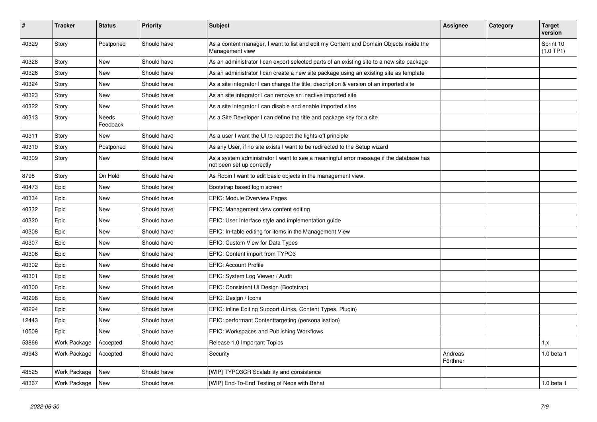| #     | <b>Tracker</b> | <b>Status</b>            | <b>Priority</b> | <b>Subject</b>                                                                                                      | Assignee            | Category | <b>Target</b><br>version |
|-------|----------------|--------------------------|-----------------|---------------------------------------------------------------------------------------------------------------------|---------------------|----------|--------------------------|
| 40329 | Story          | Postponed                | Should have     | As a content manager, I want to list and edit my Content and Domain Objects inside the<br>Management view           |                     |          | Sprint 10<br>(1.0 TP1)   |
| 40328 | Story          | <b>New</b>               | Should have     | As an administrator I can export selected parts of an existing site to a new site package                           |                     |          |                          |
| 40326 | Story          | <b>New</b>               | Should have     | As an administrator I can create a new site package using an existing site as template                              |                     |          |                          |
| 40324 | Story          | <b>New</b>               | Should have     | As a site integrator I can change the title, description & version of an imported site                              |                     |          |                          |
| 40323 | Story          | <b>New</b>               | Should have     | As an site integrator I can remove an inactive imported site                                                        |                     |          |                          |
| 40322 | Story          | <b>New</b>               | Should have     | As a site integrator I can disable and enable imported sites                                                        |                     |          |                          |
| 40313 | Story          | <b>Needs</b><br>Feedback | Should have     | As a Site Developer I can define the title and package key for a site                                               |                     |          |                          |
| 40311 | Story          | New                      | Should have     | As a user I want the UI to respect the lights-off principle                                                         |                     |          |                          |
| 40310 | Story          | Postponed                | Should have     | As any User, if no site exists I want to be redirected to the Setup wizard                                          |                     |          |                          |
| 40309 | Story          | New                      | Should have     | As a system administrator I want to see a meaningful error message if the database has<br>not been set up correctly |                     |          |                          |
| 8798  | Story          | On Hold                  | Should have     | As Robin I want to edit basic objects in the management view.                                                       |                     |          |                          |
| 40473 | Epic           | <b>New</b>               | Should have     | Bootstrap based login screen                                                                                        |                     |          |                          |
| 40334 | Epic           | New                      | Should have     | <b>EPIC: Module Overview Pages</b>                                                                                  |                     |          |                          |
| 40332 | Epic           | <b>New</b>               | Should have     | EPIC: Management view content editing                                                                               |                     |          |                          |
| 40320 | Epic           | New                      | Should have     | EPIC: User Interface style and implementation guide                                                                 |                     |          |                          |
| 40308 | Epic           | <b>New</b>               | Should have     | EPIC: In-table editing for items in the Management View                                                             |                     |          |                          |
| 40307 | Epic           | <b>New</b>               | Should have     | EPIC: Custom View for Data Types                                                                                    |                     |          |                          |
| 40306 | Epic           | <b>New</b>               | Should have     | EPIC: Content import from TYPO3                                                                                     |                     |          |                          |
| 40302 | Epic           | <b>New</b>               | Should have     | <b>EPIC: Account Profile</b>                                                                                        |                     |          |                          |
| 40301 | Epic           | <b>New</b>               | Should have     | EPIC: System Log Viewer / Audit                                                                                     |                     |          |                          |
| 40300 | Epic           | <b>New</b>               | Should have     | EPIC: Consistent UI Design (Bootstrap)                                                                              |                     |          |                          |
| 40298 | Epic           | <b>New</b>               | Should have     | EPIC: Design / Icons                                                                                                |                     |          |                          |
| 40294 | Epic           | <b>New</b>               | Should have     | EPIC: Inline Editing Support (Links, Content Types, Plugin)                                                         |                     |          |                          |
| 12443 | Epic           | <b>New</b>               | Should have     | EPIC: performant Contenttargeting (personalisation)                                                                 |                     |          |                          |
| 10509 | Epic           | <b>New</b>               | Should have     | EPIC: Workspaces and Publishing Workflows                                                                           |                     |          |                          |
| 53866 | Work Package   | Accepted                 | Should have     | Release 1.0 Important Topics                                                                                        |                     |          | 1.x                      |
| 49943 | Work Package   | Accepted                 | Should have     | Security                                                                                                            | Andreas<br>Förthner |          | 1.0 beta 1               |
| 48525 | Work Package   | <b>New</b>               | Should have     | [WIP] TYPO3CR Scalability and consistence                                                                           |                     |          |                          |
| 48367 | Work Package   | New                      | Should have     | [WIP] End-To-End Testing of Neos with Behat                                                                         |                     |          | $1.0$ beta $1$           |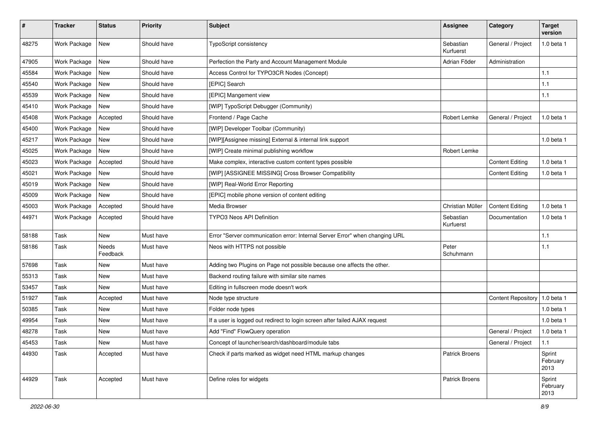| $\pmb{\#}$ | <b>Tracker</b> | <b>Status</b>     | Priority    | <b>Subject</b>                                                              | <b>Assignee</b>        | Category                  | <b>Target</b><br>version   |
|------------|----------------|-------------------|-------------|-----------------------------------------------------------------------------|------------------------|---------------------------|----------------------------|
| 48275      | Work Package   | <b>New</b>        | Should have | TypoScript consistency                                                      | Sebastian<br>Kurfuerst | General / Project         | 1.0 beta 1                 |
| 47905      | Work Package   | New               | Should have | Perfection the Party and Account Management Module                          | Adrian Föder           | Administration            |                            |
| 45584      | Work Package   | <b>New</b>        | Should have | Access Control for TYPO3CR Nodes (Concept)                                  |                        |                           | 1.1                        |
| 45540      | Work Package   | <b>New</b>        | Should have | [EPIC] Search                                                               |                        |                           | 1.1                        |
| 45539      | Work Package   | New               | Should have | [EPIC] Mangement view                                                       |                        |                           | 1.1                        |
| 45410      | Work Package   | <b>New</b>        | Should have | [WIP] TypoScript Debugger (Community)                                       |                        |                           |                            |
| 45408      | Work Package   | Accepted          | Should have | Frontend / Page Cache                                                       | Robert Lemke           | General / Project         | 1.0 beta 1                 |
| 45400      | Work Package   | New               | Should have | [WIP] Developer Toolbar (Community)                                         |                        |                           |                            |
| 45217      | Work Package   | <b>New</b>        | Should have | [WIP][Assignee missing] External & internal link support                    |                        |                           | $1.0$ beta $1$             |
| 45025      | Work Package   | New               | Should have | [WIP] Create minimal publishing workflow                                    | Robert Lemke           |                           |                            |
| 45023      | Work Package   | Accepted          | Should have | Make complex, interactive custom content types possible                     |                        | <b>Content Editing</b>    | 1.0 beta 1                 |
| 45021      | Work Package   | New               | Should have | [WIP] [ASSIGNEE MISSING] Cross Browser Compatibility                        |                        | <b>Content Editing</b>    | $1.0$ beta $1$             |
| 45019      | Work Package   | <b>New</b>        | Should have | [WIP] Real-World Error Reporting                                            |                        |                           |                            |
| 45009      | Work Package   | New               | Should have | [EPIC] mobile phone version of content editing                              |                        |                           |                            |
| 45003      | Work Package   | Accepted          | Should have | Media Browser                                                               | Christian Müller       | <b>Content Editing</b>    | 1.0 beta 1                 |
| 44971      | Work Package   | Accepted          | Should have | <b>TYPO3 Neos API Definition</b>                                            | Sebastian<br>Kurfuerst | Documentation             | 1.0 beta 1                 |
| 58188      | Task           | <b>New</b>        | Must have   | Error "Server communication error: Internal Server Error" when changing URL |                        |                           | 1.1                        |
| 58186      | Task           | Needs<br>Feedback | Must have   | Neos with HTTPS not possible                                                | Peter<br>Schuhmann     |                           | 1.1                        |
| 57698      | Task           | <b>New</b>        | Must have   | Adding two Plugins on Page not possible because one affects the other.      |                        |                           |                            |
| 55313      | Task           | New               | Must have   | Backend routing failure with similar site names                             |                        |                           |                            |
| 53457      | Task           | New               | Must have   | Editing in fullscreen mode doesn't work                                     |                        |                           |                            |
| 51927      | Task           | Accepted          | Must have   | Node type structure                                                         |                        | <b>Content Repository</b> | 1.0 beta 1                 |
| 50385      | Task           | New               | Must have   | Folder node types                                                           |                        |                           | 1.0 beta 1                 |
| 49954      | Task           | New               | Must have   | If a user is logged out redirect to login screen after failed AJAX request  |                        |                           | 1.0 beta 1                 |
| 48278      | Task           | New               | Must have   | Add "Find" FlowQuery operation                                              |                        | General / Project         | 1.0 beta 1                 |
| 45453      | Task           | New               | Must have   | Concept of launcher/search/dashboard/module tabs                            |                        | General / Project         | $1.1$                      |
| 44930      | Task           | Accepted          | Must have   | Check if parts marked as widget need HTML markup changes                    | Patrick Broens         |                           | Sprint<br>February<br>2013 |
| 44929      | Task           | Accepted          | Must have   | Define roles for widgets                                                    | Patrick Broens         |                           | Sprint<br>February<br>2013 |